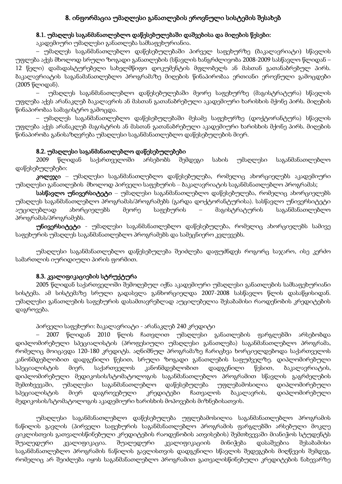# 8. ინფორმაცია უმაღლესი განათლების ეროვნული სისტემის შესახებ

# 8.1. უმაღლეს საგანმანათლებლო დაწესებულებაში დაშვებისა და მიღების წესები:

აკადემიური უმაღლესი განათლება სამსაფეხურიანია.

– უმაღლეს საგანმანათლებლო დაწესებულებაში პირველ საფეხურზე (ბაკალავრიატი) სწავლის უფლება აქვს მხოლოდ სრული ზოგადი განათლების (სწავლის ხანგრძლივობა 2008-2009 სასწავლო წლიდან – 12 წელი) დამადასტურებელი სახელმწიფო დოკუმენტის მფლობელს ან მასთან გათანაბრებულ პირს. ბაკალავრიატის საგანამანათლებლო პროგრამაზე მიღების წინაპირობაა ერთიანი ეროვნული გამოცდები (2005 წლიდან).

– უმაღლეს საგანმანათლებლო დაწესებულებაში მეორე საფეხურზე (მაგისტრატურა) სწავლის უფლება აქვს არანაკლებ ბაკალავრის ან მასთან გათანაბრებული აკადემიური ხარისხის მქონე პირს. მიღების წინაპირობაა სამაგისტრო გამოცდა.

– უმაღლეს საგანმანათლებლო დაწესებულებაში მესამე საფეხურზე (დოქტორანტურა) სწავლის უფლება აქვს არანაკლებ მაგისტრის ან მასთან გათანაბრებული აკადემიური ხარისხის მქონე პირს. მიღების წინაპირობა განისაზღვრება უმაღლესი საგანმანათლებლო დაწესებულების მიერ.

# 8.2. უმაღლესი საგანმანათლებლო დაწესებულებები

2009 წლიდან საქართველოში არსებობს შემდეგი სახის უმაღლესი საგანმანათლებლო დაწესებულებები:

კოლეჯი – უმაღლესი საგანმანათლებლო დაწესებულება, რომელიც ახორციელებს აკადემიური უმაღლესი განათლების მხოლოდ პირველი საფეხურის – ბაკალავრიატის საგანმანათლებლო პროგრამას;

სასწავლო უნივერსიტეტი – უმაღლესი საგანმანათლებლო დაწესებულება, რომელიც ახორციელებს უმაღლეს საგანმანათლებლო პროგრამას/პროგრამებს (გარდა დოქტორანტურისა). სასწავლო უნივერსიტეტი აუცილებლად ახორციელებს მეორე საფეხურის – მაგისტრატურის საგანმანათლებლო პროგრამას/პროგრამებს.

უნივერსიტეტი - უმაღლესი საგანმანათლებლო დაწესებულება, რომელიც ახორციელებს სამივე საფეხურის უმაღლეს საგანმანათლებლო პროგრამებს და სამეცნიერო კვლევებს.

უმაღლესი საგანმანათლებლო დაწესებულება შეიძლება დაფუძნდეს როგორც საჯარო, ისე კერძო სამართლის იურიდიული პირის ფორმით.

# 8.3. კვალიფიკაციების სტრუქტურა

2005 წლიდან საქართველოში შემოღებულ იქნა აკადემიური უმაღლესი განათლების სამსაფეხურიანი სისტემა. ამ სისტემაზე სრული გადასვლა განხორციელდა 2007-2008 სასწავლო წლის დასაწყისიდან. უმაღლესი განათლების საფეხურის დასამთავრებლად აუცილებელია შესაბამისი რაოდენობის კრედიტების დაგროვება.

#### პირველი საფეხური: ბაკალავრიატი - არანაკლებ 240 კრედიტი

– 2007 წლიდან 2010 წლის ჩათვლით უმაღლესი განათლების ფარგლებში არსებობდა დიპლომირებული სპეციალისტის (პროფესიული უმაღლესი განათლება) საგანმანათლებლო პროგრამა, რომელიც მოიცავდა 120-180 კრედიტს. აღნიშნულ პროგრამაზე ჩარიცხვა ხორციელდებოდა საქართველოს კანონმდებლობით დადგენილი წესით, სრული ზოგადი განათლების საფუძველზე. დიპლომირებული სპეციალისტის მიერ, საქართველოს კანონმდებლობით დადგენილი წესით, ბაკალავრიატის, დიპლომირებული მედიკოსის/სტომატოლოგის საგანმანათლებლო პროგრამით სწავლის გაგრძელების შემთხვევაში, უმაღლესი საგანმანათლებლო დაწესებულება უფლებამოსილია დიპლომირებული სპეციალისტის მიერ დაგროვებული კრედიტები ჩათვალოს ბაკალავრის, დიპლომირებული მედიკოსის/სტომატოლოგის აკადემიური ხარისხის მოპოვების მიზნებისათვის.

უმაღლესი საგანმანათლებლო დაწესებულება უფლებამოსილია საგანმანათლებლო პროგრამის ნაწილის გავლის (პირველი საფეხურის საგანმანათლებლო პროგრამის ფარგლებში არსებული მოკლე ციკლისთვის გათვალისწინებული კრედიტების რაოდენობის ათვისების) შემთხვევაში მიანიჭოს სტუდენტს შუალედური კვალიფიკაცია. შუალედური კვალიფიკაციის მინიჭება დასაშვებია შესაბამისი საგანმანათლებლო პროგრამის ნაწილის გავლისთვის დადგენილი სწავლის შედეგების მიღწევის შემდეგ, რომელიც არ შეიძლება იყოს საგანმანათლებლო პროგრამით გათვალისწინებული კრედიტების ნახევარზე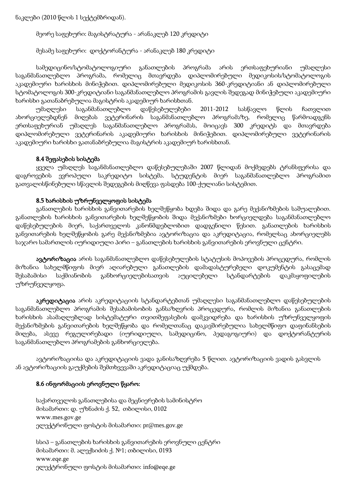ნაკლები (2010 წლის 1 სექტემბრიდან).

მეორე საფეხური: მაგისტრატურა - არანაკლებ 120 კრედიტი

მესამე საფეხური: დოქტორანტურა - არანაკლებ 180 კრედიტი

სამედიცინო/სტომატოლოგიური განათლების პროგრამა არის ერთსაფეხურიანი უმაღლესი საგანმანათლებლო პროგრამა, რომელიც მთავრდება დიპლომირებული მედიკოსის/სტომატოლოგის აკადემიური ხარისხის მინიჭებით. დიპლომირებული მედიკოსის 360-კრედიტიანი ან დიპლომირებული სტომატოლოგის 300-კრედიტიანი საგანმანათლებლო პროგრამის გავლის შედეგად მინიჭებული აკადემიური ხარისხი გათანაბრებულია მაგისტრის აკადემიურ ხარისხთან.

უმაღლესი საგანმანათლებლო დაწესებულებები 2011-2012 სასწავლო წლის ჩათვლით ახორციელებდნენ მიღებას ვეტერინარის საგანმანათლებლო პროგრამაზე, რომელიც წარმოადგენს ერთსაფეხურიან უმაღლეს საგანმანათლებლო პროგრამას, მოიცავს 300 კრედიტს და მთავრდება დიპლომირებული ვეტერინარის აკადემიური ხარისხის მინიჭებით. დიპლომირებული ვეტერინარის აკადემიური ხარისხი გათანაბრებულია მაგისტრის აკადემიურ ხარისხთან.

#### 8.4 შეფასების სისტემა

ყველა უმაღლეს საგანმანათლებლო დაწესებულებაში 2007 წლიდან მოქმედებს ტრანსფერისა და დაგროვების ევროპული საკრედიტო სისტემა. სტუდენტის მიერ საგანმანათლებლო პროგრამით გათვალისწინებული სწავლის შედეგების მიღწევა ფასდება 100-ქულიანი სისტემით.

#### 8.5 ხარისხის უზრუნველყოფის სისტემა

განათლების ხარისხის განვითარების ხელშეწყობა ხდება შიდა და გარე მექანიზმების საშუალებით. განათლების ხარისხის განვითარების ხელშეწყობის შიდა მექანიზმები ხორციელდება საგანმანათლებლო დაწესებულების მიერ, საქართველოს კანონმდებლობით დადგენილი წესით. განათლების ხარისხის განვითარების ხელშეწყობის გარე მექანიზმებია ავტორიზაცია და აკრედიტაცია, რომელსაც ახორციელებს საჯარო სამართლის იურიდიული პირი – განათლების ხარისხის განვითარების ეროვნული ცენტრი.

ავტორიზაცია არის საგანმანათლებლო დაწესებულების სტატუსის მოპოვების პროცედურა, რომლის მიზანია სახელმწიფოს მიერ აღიარებული განათლების დამადასტურებელი დოკუმენტის გასაცემად შესაბამისი საქმიანობის განხორციელებისათვის აუცილებელი სტანდარტების დაკმაყოფილების უზრუნველყოფა.

აკრედიტაცია არის აკრედიტაციის სტანდარტებთან უმაღლესი საგანმანათლებლო დაწესებულების საგანმანათლებლო პროგრამის შესაბამისობის განსაზღვრის პროცედურა, რომლის მიზანია განათლების ხარისხის ასამაღლებლად სისტემატური თვითშეფასების დამკვიდრება და ხარისხის უზრუნველყოფის მექანიზმების განვითარების ხელშეწყობა და რომელთანაც დაკავშირებულია სახელმწიფო დაფინანსების მიღება, ასევე რეგულირებადი (იურიდიული, სამედიცინო, პედაგოგიური) და დოქტორანტურის საგანმანათლებლო პროგრამების განხორციელება.

ავტორიზაციისა და აკრედიტაციის ვადა განისაზღვრება 5 წლით. ავტორიზაციის ვადის გასვლის ან ავტორიზაციის გაუქმების შემთხვევაში აკრედიტაციაც უქმდება.

#### 8.6 ინფორმაციის ეროვნული წყარო:

საქართველოს განათლებისა და მეცნიერების სამინისტრო მისამართი: დ. უზნაძის ქ. 52, თბილისი, 0102 www.mes.gov.ge ელექტრონული ფოსტის მისამართი: pr@mes.gov.ge

სსიპ – განათლების ხარისხის განვითარების ეროვნული ცენტრი მისამართი: მ. ალექსიძის ქ. №1; თბილისი, 0193 www.eqe.ge ელექტრონული ფოსტის მისამართი: [info@eqe.ge](mailto:info@eqe.ge)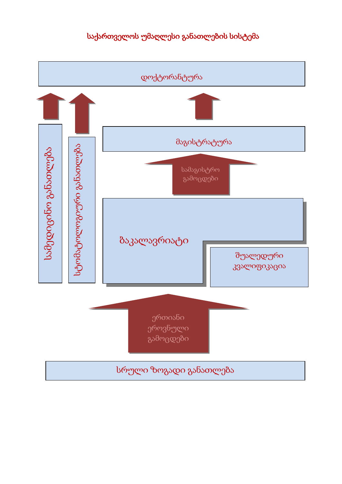# საქართველოს უმაღლესი განათლების სისტემა

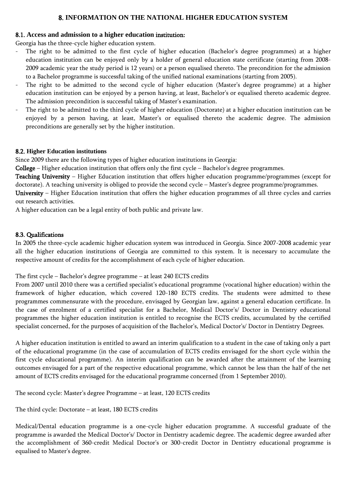#### 8. **INFORMATION ON THE NATIONAL HIGHER EDUCATION SYSTEM**

# 8.1. **Access and admission to a higher education** institution:

Georgia has the three-cycle higher education system.

- The right to be admitted to the first cycle of higher education (Bachelor's degree programmes) at a higher education institution can be enjoyed only by a holder of general education state certificate (starting from 2008- 2009 academic year the study period is 12 years) or a person equalised thereto. The precondition for the admission to a Bachelor programme is successful taking of the unified national examinations (starting from 2005).
- The right to be admitted to the second cycle of higher education (Master's degree programme) at a higher education institution can be enjoyed by a person having, at least, Bachelor's or equalised thereto academic degree. The admission precondition is successful taking of Master's examination.
- The right to be admitted to the third cycle of higher education (Doctorate) at a higher education institution can be enjoyed by a person having, at least, Master's or equalised thereto the academic degree. The admission preconditions are generally set by the higher institution.

# 8.2. **Higher Education institutions**

Since 2009 there are the following types of higher education institutions in Georgia:

College – Higher education institution that offers only the first cycle – Bachelor's degree programmes.

Teaching University – Higher Education institution that offers higher education programme/programmes (except for doctorate). A teaching university is obliged to provide the second cycle – Master's degree programme/programmes.

University – Higher Education institution that offers the higher education programmes of all three cycles and carries out research activities.

A higher education can be a legal entity of both public and private law.

# 8.3. Qualifications

In 2005 the three-cycle academic higher education system was introduced in Georgia. Since 2007-2008 academic year all the higher education institutions of Georgia are committed to this system. It is necessary to accumulate the respective amount of credits for the accomplishment of each cycle of higher education.

The first cycle – Bachelor's degree programme – at least 240 ECTS credits

From 2007 until 2010 there was a certified specialist's educational programme (vocational higher education) within the framework of higher education, which covered 120-180 ECTS credits. The students were admitted to these programmes commensurate with the procedure, envisaged by Georgian law, against a general education certificate. In the case of enrolment of a certified specialist for a Bachelor, Medical Doctor's/ Doctor in Dentistry educational programmes the higher education institution is entitled to recognise the ECTS credits, accumulated by the certified specialist concerned, for the purposes of acquisition of the Bachelor's, Medical Doctor's/ Doctor in Dentistry Degrees.

A higher education institution is entitled to award an interim qualification to a student in the case of taking only a part of the educational programme (in the case of accumulation of ECTS credits envisaged for the short cycle within the first cycle educational programme). An interim qualification can be awarded after the attainment of the learning outcomes envisaged for a part of the respective educational programme, which cannot be less than the half of the net amount of ECTS credits envisaged for the educational programme concerned (from 1 September 2010).

The second cycle: Master's degree Programme – at least, 120 ECTS credits

The third cycle: Doctorate – at least, 180 ECTS credits

Medical/Dental education programme is a one-cycle higher education programme. A successful graduate of the programme is awarded the Medical Doctor's/ Doctor in Dentistry academic degree. The academic degree awarded after the accomplishment of 360-credit Medical Doctor's or 300-credit Doctor in Dentistry educational programme is equalised to Master's degree.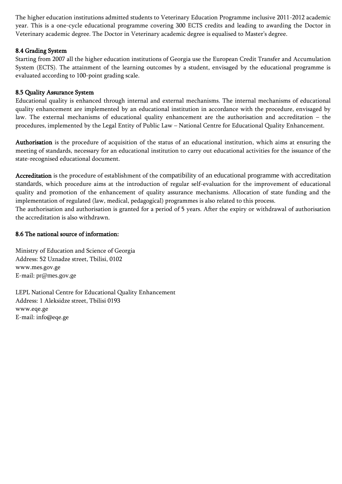The higher education institutions admitted students to Veterinary Education Programme inclusive 2011-2012 academic year. This is a one-cycle educational programme covering 300 ECTS credits and leading to awarding the Doctor in Veterinary academic degree. The Doctor in Veterinary academic degree is equalised to Master's degree.

#### 8.4 Grading System

Starting from 2007 all the higher education institutions of Georgia use the European Credit Transfer and Accumulation System (ECTS). The attainment of the learning outcomes by a student, envisaged by the educational programme is evaluated according to 100-point grading scale.

#### 8.5 Quality Assurance System

Educational quality is enhanced through internal and external mechanisms. The internal mechanisms of educational quality enhancement are implemented by an educational institution in accordance with the procedure, envisaged by law. The external mechanisms of educational quality enhancement are the authorisation and accreditation – the procedures, implemented by the Legal Entity of Public Law – National Centre for Educational Quality Enhancement.

Authorisation is the procedure of acquisition of the status of an educational institution, which aims at ensuring the meeting of standards, necessary for an educational institution to carry out educational activities for the issuance of the state-recognised educational document.

Accreditation is the procedure of establishment of the compatibility of an educational programme with accreditation standards, which procedure aims at the introduction of regular self-evaluation for the improvement of educational quality and promotion of the enhancement of quality assurance mechanisms. Allocation of state funding and the implementation of regulated (law, medical, pedagogical) programmes is also related to this process.

The authorisation and authorisation is granted for a period of 5 years. After the expiry or withdrawal of authorisation the accreditation is also withdrawn.

#### 8.6 The national source of information:

Ministry of Education and Science of Georgia Address: 52 Uznadze street, Tbilisi, 0102 www.mes.gov.ge E-mail: pr@mes.gov.ge

LEPL National Centre for Educational Quality Enhancement Address: 1 Aleksidze street, Tbilisi 0193 www.eqe.ge E-mail: [info@eqe.ge](mailto:info@eqe.ge)